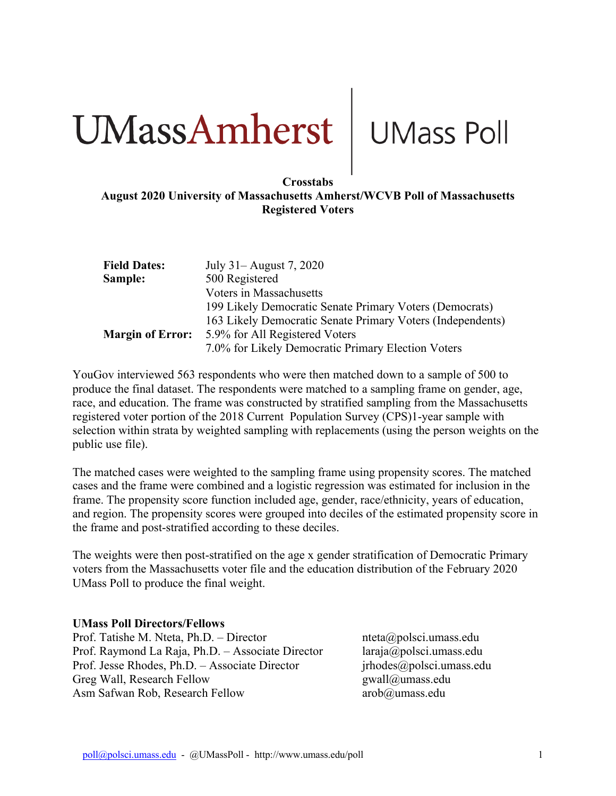# **CIMassAmherst** UMass Poll

## **August 2020 University of Massachusetts Amherst/WCVB Poll of Massachusetts Registered Voters**

| <b>Field Dates:</b>     | July 31 – August 7, 2020                                   |
|-------------------------|------------------------------------------------------------|
| Sample:                 | 500 Registered                                             |
|                         | Voters in Massachusetts                                    |
|                         | 199 Likely Democratic Senate Primary Voters (Democrats)    |
|                         | 163 Likely Democratic Senate Primary Voters (Independents) |
| <b>Margin of Error:</b> | 5.9% for All Registered Voters                             |
|                         | 7.0% for Likely Democratic Primary Election Voters         |

YouGov interviewed 563 respondents who were then matched down to a sample of 500 to produce the final dataset. The respondents were matched to a sampling frame on gender, age, race, and education. The frame was constructed by stratified sampling from the Massachusetts registered voter portion of the 2018 Current Population Survey (CPS)1-year sample with selection within strata by weighted sampling with replacements (using the person weights on the public use file).

The matched cases were weighted to the sampling frame using propensity scores. The matched cases and the frame were combined and a logistic regression was estimated for inclusion in the frame. The propensity score function included age, gender, race/ethnicity, years of education, and region. The propensity scores were grouped into deciles of the estimated propensity score in the frame and post-stratified according to these deciles.

The weights were then post-stratified on the age x gender stratification of Democratic Primary voters from the Massachusetts voter file and the education distribution of the February 2020 UMass Poll to produce the final weight.

### **UMass Poll Directors/Fellows**

Prof. Tatishe M. Nteta, Ph.D. – Director nteta apolsci.umass.edu Prof. Raymond La Raja, Ph.D. – Associate Director laraja@polsci.umass.edu Prof. Jesse Rhodes, Ph.D. – Associate Director *irhodes@polsci.umass.edu* Greg Wall, Research Fellow gwall@umass.edu Asm Safwan Rob, Research Fellow arob@umass.edu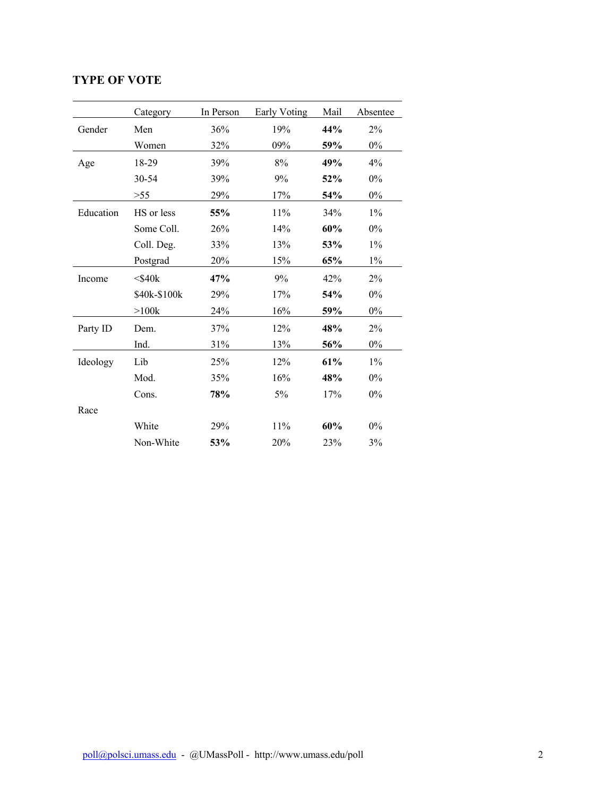# **TYPE OF VOTE**

|           | Category     | In Person | Early Voting | Mail | Absentee |
|-----------|--------------|-----------|--------------|------|----------|
| Gender    | Men          | 36%       | 19%          | 44%  | 2%       |
|           | Women        | 32%       | 09%          | 59%  | $0\%$    |
| Age       | 18-29        | 39%       | 8%           | 49%  | 4%       |
|           | 30-54        | 39%       | 9%           | 52%  | $0\%$    |
|           | >55          | 29%       | 17%          | 54%  | $0\%$    |
| Education | HS or less   | 55%       | 11%          | 34%  | $1\%$    |
|           | Some Coll.   | 26%       | 14%          | 60%  | 0%       |
|           | Coll. Deg.   | 33%       | 13%          | 53%  | $1\%$    |
|           | Postgrad     | 20%       | 15%          | 65%  | $1\%$    |
| Income    | $<$ \$40 $k$ | 47%       | 9%           | 42%  | 2%       |
|           | \$40k-\$100k | 29%       | 17%          | 54%  | 0%       |
|           | >100k        | 24%       | 16%          | 59%  | $0\%$    |
| Party ID  | Dem.         | 37%       | 12%          | 48%  | 2%       |
|           | Ind.         | 31%       | 13%          | 56%  | $0\%$    |
| Ideology  | Lib          | 25%       | 12%          | 61%  | $1\%$    |
|           | Mod.         | 35%       | 16%          | 48%  | $0\%$    |
|           | Cons.        | 78%       | $5\%$        | 17%  | $0\%$    |
| Race      |              |           |              |      |          |
|           | White        | 29%       | $11\%$       | 60%  | $0\%$    |
|           | Non-White    | 53%       | 20%          | 23%  | 3%       |